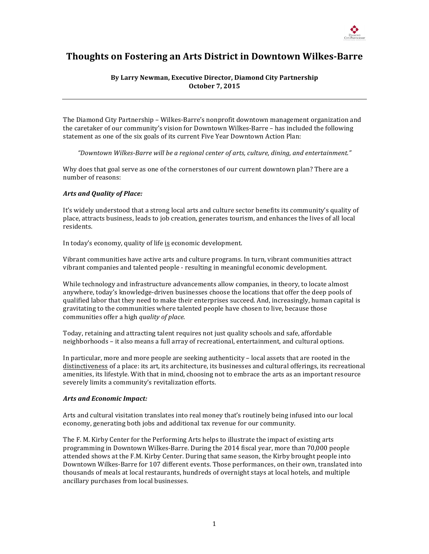

# **Thoughts on Fostering an Arts District in Downtown Wilkes-Barre**

## By Larry Newman, Executive Director, Diamond City Partnership **October 7, 2015**

The Diamond City Partnership – Wilkes-Barre's nonprofit downtown management organization and the caretaker of our community's vision for Downtown Wilkes-Barre – has included the following statement as one of the six goals of its current Five Year Downtown Action Plan:

*"Downtown Wilkes-Barre will be a regional center of arts, culture, dining, and entertainment."*

Why does that goal serve as one of the cornerstones of our current downtown plan? There are a number of reasons:

#### **Arts and Quality of Place:**

It's widely understood that a strong local arts and culture sector benefits its community's quality of place, attracts business, leads to job creation, generates tourism, and enhances the lives of all local residents.

In today's economy, quality of life is economic development.

Vibrant communities have active arts and culture programs. In turn, vibrant communities attract vibrant companies and talented people - resulting in meaningful economic development.

While technology and infrastructure advancements allow companies, in theory, to locate almost anywhere, today's knowledge-driven businesses choose the locations that offer the deep pools of qualified labor that they need to make their enterprises succeed. And, increasingly, human capital is gravitating to the communities where talented people have chosen to live, because those communities offer a high *quality of place*.

Today, retaining and attracting talent requires not just quality schools and safe, affordable neighborhoods – it also means a full array of recreational, entertainment, and cultural options.

In particular, more and more people are seeking authenticity  $-$  local assets that are rooted in the distinctiveness of a place: its art, its architecture, its businesses and cultural offerings, its recreational amenities, its lifestyle. With that in mind, choosing not to embrace the arts as an important resource severely limits a community's revitalization efforts.

#### *Arts and Economic Impact:*

Arts and cultural visitation translates into real money that's routinely being infused into our local economy, generating both jobs and additional tax revenue for our community.

The F. M. Kirby Center for the Performing Arts helps to illustrate the impact of existing arts programming in Downtown Wilkes-Barre. During the 2014 fiscal year, more than 70,000 people attended shows at the F.M. Kirby Center. During that same season, the Kirby brought people into Downtown Wilkes-Barre for 107 different events. Those performances, on their own, translated into thousands of meals at local restaurants, hundreds of overnight stays at local hotels, and multiple ancillary purchases from local businesses.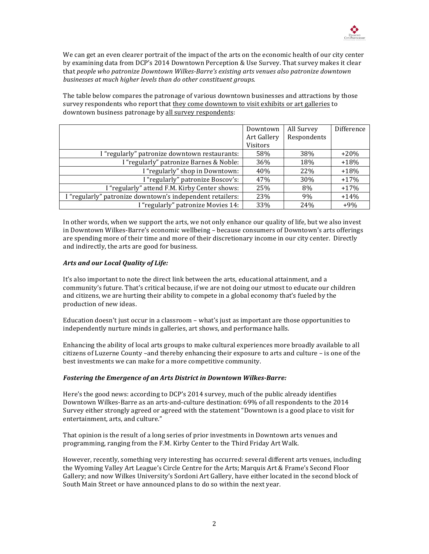

We can get an even clearer portrait of the impact of the arts on the economic health of our city center by examining data from DCP's 2014 Downtown Perception & Use Survey. That survey makes it clear that people who patronize Downtown Wilkes-Barre's existing arts venues also patronize downtown *businesses at much higher levels than do other constituent groups.* 

The table below compares the patronage of various downtown businesses and attractions by those survey respondents who report that they come downtown to visit exhibits or art galleries to downtown business patronage by all survey respondents:

|                                                           | Downtown    | All Survey  | Difference |
|-----------------------------------------------------------|-------------|-------------|------------|
|                                                           | Art Gallery | Respondents |            |
|                                                           | Visitors    |             |            |
| I "regularly" patronize downtown restaurants:             | 58%         | 38%         | $+20%$     |
| I "regularly" patronize Barnes & Noble:                   | 36%         | 18%         | $+18%$     |
| I "regularly" shop in Downtown:                           | 40%         | 22%         | $+18%$     |
| I "regularly" patronize Boscov's:                         | 47%         | <b>30%</b>  | $+17%$     |
| I "regularly" attend F.M. Kirby Center shows:             | 25%         | 8%          | $+17%$     |
| I "regularly" patronize downtown's independent retailers: | 23%         | 9%          | $+14%$     |
| I "regularly" patronize Movies 14:                        | 33%         | 24%         | $+9%$      |

In other words, when we support the arts, we not only enhance our quality of life, but we also invest in Downtown Wilkes-Barre's economic wellbeing - because consumers of Downtown's arts offerings are spending more of their time and more of their discretionary income in our city center. Directly and indirectly, the arts are good for business.

### **Arts and our Local Quality of Life:**

It's also important to note the direct link between the arts, educational attainment, and a community's future. That's critical because, if we are not doing our utmost to educate our children and citizens, we are hurting their ability to compete in a global economy that's fueled by the production of new ideas.

Education doesn't just occur in a classroom – what's just as important are those opportunities to independently nurture minds in galleries, art shows, and performance halls.

Enhancing the ability of local arts groups to make cultural experiences more broadly available to all citizens of Luzerne County –and thereby enhancing their exposure to arts and culture – is one of the best investments we can make for a more competitive community.

#### **Fostering the Emergence of an Arts District in Downtown Wilkes-Barre:**

Here's the good news: according to DCP's 2014 survey, much of the public already identifies Downtown Wilkes-Barre as an arts-and-culture destination: 69% of all respondents to the 2014 Survey either strongly agreed or agreed with the statement "Downtown is a good place to visit for entertainment, arts, and culture."

That opinion is the result of a long series of prior investments in Downtown arts venues and programming, ranging from the F.M. Kirby Center to the Third Friday Art Walk.

However, recently, something very interesting has occurred: several different arts venues, including the Wyoming Valley Art League's Circle Centre for the Arts; Marquis Art & Frame's Second Floor Gallery; and now Wilkes University's Sordoni Art Gallery, have either located in the second block of South Main Street or have announced plans to do so within the next year.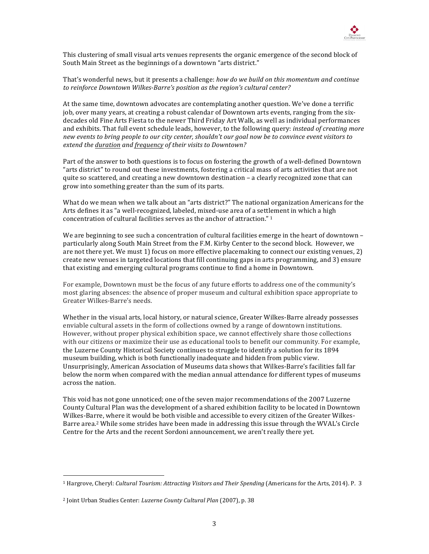

This clustering of small visual arts venues represents the organic emergence of the second block of South Main Street as the beginnings of a downtown "arts district."

That's wonderful news, but it presents a challenge: *how do we build on this momentum and continue* to reinforce Downtown Wilkes-Barre's position as the region's cultural center?

At the same time, downtown advocates are contemplating another question. We've done a terrific job, over many years, at creating a robust calendar of Downtown arts events, ranging from the sixdecades old Fine Arts Fiesta to the newer Third Friday Art Walk, as well as individual performances and exhibits. That full event schedule leads, however, to the following query: *instead of creating more new* events to bring people to our city center, shouldn't our goal now be to convince event visitors to *extend the duration and frequency of their visits to Downtown?*

Part of the answer to both questions is to focus on fostering the growth of a well-defined Downtown "arts district" to round out these investments, fostering a critical mass of arts activities that are not quite so scattered, and creating a new downtown destination  $-$  a clearly recognized zone that can grow into something greater than the sum of its parts.

What do we mean when we talk about an "arts district?" The national organization Americans for the Arts defines it as "a well-recognized, labeled, mixed-use area of a settlement in which a high concentration of cultural facilities serves as the anchor of attraction."  $1$ 

We are beginning to see such a concentration of cultural facilities emerge in the heart of downtown  $$ particularly along South Main Street from the F.M. Kirby Center to the second block. However, we are not there yet. We must 1) focus on more effective placemaking to connect our existing venues,  $2$ ) create new venues in targeted locations that fill continuing gaps in arts programming, and 3) ensure that existing and emerging cultural programs continue to find a home in Downtown.

For example, Downtown must be the focus of any future efforts to address one of the community's most glaring absences: the absence of proper museum and cultural exhibition space appropriate to Greater Wilkes-Barre's needs.

Whether in the visual arts, local history, or natural science, Greater Wilkes-Barre already possesses enviable cultural assets in the form of collections owned by a range of downtown institutions. However, without proper physical exhibition space, we cannot effectively share those collections with our citizens or maximize their use as educational tools to benefit our community. For example, the Luzerne County Historical Society continues to struggle to identify a solution for its 1894 museum building, which is both functionally inadequate and hidden from public view. Unsurprisingly, American Association of Museums data shows that Wilkes-Barre's facilities fall far below the norm when compared with the median annual attendance for different types of museums across the nation.

This void has not gone unnoticed; one of the seven major recommendations of the 2007 Luzerne County Cultural Plan was the development of a shared exhibition facility to be located in Downtown Wilkes-Barre, where it would be both visible and accessible to every citizen of the Greater Wilkes-Barre area.<sup>2</sup> While some strides have been made in addressing this issue through the WVAL's Circle Centre for the Arts and the recent Sordoni announcement, we aren't really there yet.

1

<sup>&</sup>lt;sup>1</sup> Hargrove, Cheryl: *Cultural Tourism: Attracting Visitors and Their Spending* (Americans for the Arts, 2014). P. 3

<sup>&</sup>lt;sup>2</sup> Joint Urban Studies Center: *Luzerne County Cultural Plan* (2007), p. 38